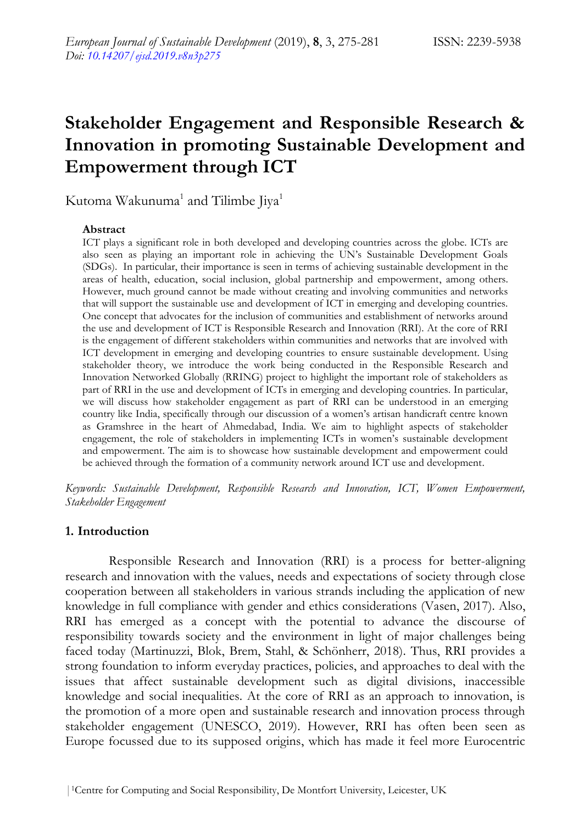# **Stakeholder Engagement and Responsible Research & Innovation in promoting Sustainable Development and Empowerment through ICT**

Kutoma Wakunuma<sup>1</sup> and Tilimbe Jiya<sup>1</sup>

### **Abstract**

ICT plays a significant role in both developed and developing countries across the globe. ICTs are also seen as playing an important role in achieving the UN's Sustainable Development Goals (SDGs). In particular, their importance is seen in terms of achieving sustainable development in the areas of health, education, social inclusion, global partnership and empowerment, among others. However, much ground cannot be made without creating and involving communities and networks that will support the sustainable use and development of ICT in emerging and developing countries. One concept that advocates for the inclusion of communities and establishment of networks around the use and development of ICT is Responsible Research and Innovation (RRI). At the core of RRI is the engagement of different stakeholders within communities and networks that are involved with ICT development in emerging and developing countries to ensure sustainable development. Using stakeholder theory, we introduce the work being conducted in the Responsible Research and Innovation Networked Globally (RRING) project to highlight the important role of stakeholders as part of RRI in the use and development of ICTs in emerging and developing countries. In particular, we will discuss how stakeholder engagement as part of RRI can be understood in an emerging country like India, specifically through our discussion of a women's artisan handicraft centre known as Gramshree in the heart of Ahmedabad, India. We aim to highlight aspects of stakeholder engagement, the role of stakeholders in implementing ICTs in women's sustainable development and empowerment. The aim is to showcase how sustainable development and empowerment could be achieved through the formation of a community network around ICT use and development.

*Keywords: Sustainable Development, Responsible Research and Innovation, ICT, Women Empowerment, Stakeholder Engagement*

## **1. Introduction**

Responsible Research and Innovation (RRI) is a process for better-aligning research and innovation with the values, needs and expectations of society through close cooperation between all stakeholders in various strands including the application of new knowledge in full compliance with gender and ethics considerations (Vasen, 2017). Also, RRI has emerged as a concept with the potential to advance the discourse of responsibility towards society and the environment in light of major challenges being faced today (Martinuzzi, Blok, Brem, Stahl, & Schönherr, 2018). Thus, RRI provides a strong foundation to inform everyday practices, policies, and approaches to deal with the issues that affect sustainable development such as digital divisions, inaccessible knowledge and social inequalities. At the core of RRI as an approach to innovation, is the promotion of a more open and sustainable research and innovation process through stakeholder engagement (UNESCO, 2019). However, RRI has often been seen as Europe focussed due to its supposed origins, which has made it feel more Eurocentric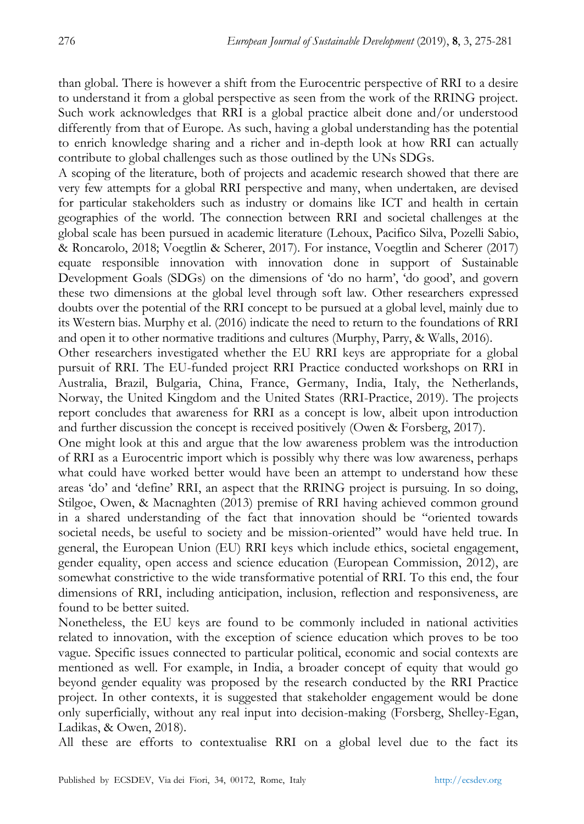than global. There is however a shift from the Eurocentric perspective of RRI to a desire to understand it from a global perspective as seen from the work of the RRING project. Such work acknowledges that RRI is a global practice albeit done and/or understood differently from that of Europe. As such, having a global understanding has the potential to enrich knowledge sharing and a richer and in-depth look at how RRI can actually contribute to global challenges such as those outlined by the UNs SDGs.

A scoping of the literature, both of projects and academic research showed that there are very few attempts for a global RRI perspective and many, when undertaken, are devised for particular stakeholders such as industry or domains like ICT and health in certain geographies of the world. The connection between RRI and societal challenges at the global scale has been pursued in academic literature (Lehoux, Pacifico Silva, Pozelli Sabio, & Roncarolo, 2018; Voegtlin & Scherer, 2017). For instance, Voegtlin and Scherer (2017) equate responsible innovation with innovation done in support of Sustainable Development Goals (SDGs) on the dimensions of ‗do no harm', ‗do good', and govern these two dimensions at the global level through soft law. Other researchers expressed doubts over the potential of the RRI concept to be pursued at a global level, mainly due to its Western bias. Murphy et al. (2016) indicate the need to return to the foundations of RRI and open it to other normative traditions and cultures (Murphy, Parry, & Walls, 2016).

Other researchers investigated whether the EU RRI keys are appropriate for a global pursuit of RRI. The EU-funded project RRI Practice conducted workshops on RRI in Australia, Brazil, Bulgaria, China, France, Germany, India, Italy, the Netherlands, Norway, the United Kingdom and the United States (RRI-Practice, 2019). The projects report concludes that awareness for RRI as a concept is low, albeit upon introduction and further discussion the concept is received positively (Owen & Forsberg, 2017).

One might look at this and argue that the low awareness problem was the introduction of RRI as a Eurocentric import which is possibly why there was low awareness, perhaps what could have worked better would have been an attempt to understand how these areas ‗do' and ‗define' RRI, an aspect that the RRING project is pursuing. In so doing, Stilgoe, Owen, & Macnaghten (2013) premise of RRI having achieved common ground in a shared understanding of the fact that innovation should be "oriented towards" societal needs, be useful to society and be mission-oriented" would have held true. In general, the European Union (EU) RRI keys which include ethics, societal engagement, gender equality, open access and science education (European Commission, 2012), are somewhat constrictive to the wide transformative potential of RRI. To this end, the four dimensions of RRI, including anticipation, inclusion, reflection and responsiveness, are found to be better suited.

Nonetheless, the EU keys are found to be commonly included in national activities related to innovation, with the exception of science education which proves to be too vague. Specific issues connected to particular political, economic and social contexts are mentioned as well. For example, in India, a broader concept of equity that would go beyond gender equality was proposed by the research conducted by the RRI Practice project. In other contexts, it is suggested that stakeholder engagement would be done only superficially, without any real input into decision-making (Forsberg, Shelley-Egan, Ladikas, & Owen, 2018).

All these are efforts to contextualise RRI on a global level due to the fact its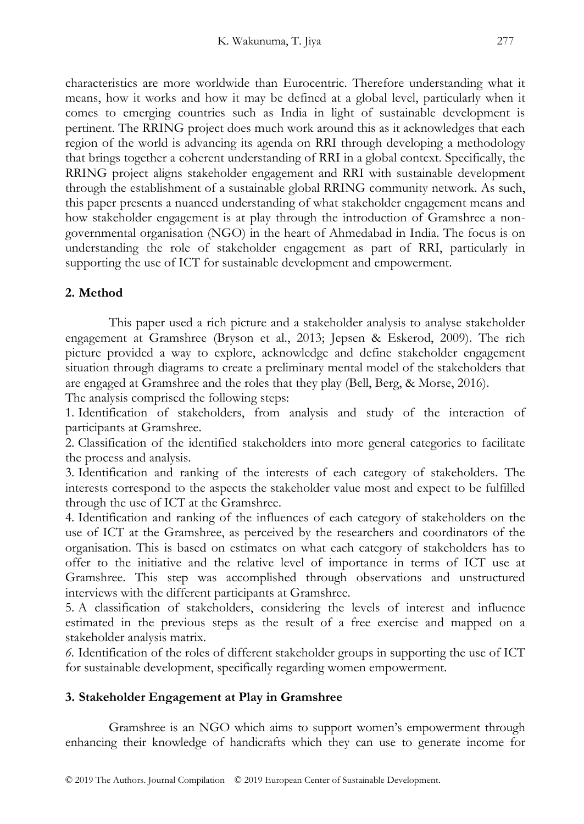characteristics are more worldwide than Eurocentric. Therefore understanding what it means, how it works and how it may be defined at a global level, particularly when it comes to emerging countries such as India in light of sustainable development is pertinent. The RRING project does much work around this as it acknowledges that each region of the world is advancing its agenda on RRI through developing a methodology that brings together a coherent understanding of RRI in a global context. Specifically, the RRING project aligns stakeholder engagement and RRI with sustainable development through the establishment of a sustainable global RRING community network. As such, this paper presents a nuanced understanding of what stakeholder engagement means and how stakeholder engagement is at play through the introduction of Gramshree a nongovernmental organisation (NGO) in the heart of Ahmedabad in India. The focus is on understanding the role of stakeholder engagement as part of RRI, particularly in supporting the use of ICT for sustainable development and empowerment.

# **2. Method**

This paper used a rich picture and a stakeholder analysis to analyse stakeholder engagement at Gramshree (Bryson et al., 2013; Jepsen & Eskerod, 2009). The rich picture provided a way to explore, acknowledge and define stakeholder engagement situation through diagrams to create a preliminary mental model of the stakeholders that are engaged at Gramshree and the roles that they play (Bell, Berg, & Morse, 2016).

The analysis comprised the following steps:

1. Identification of stakeholders, from analysis and study of the interaction of participants at Gramshree.

2. Classification of the identified stakeholders into more general categories to facilitate the process and analysis.

3. Identification and ranking of the interests of each category of stakeholders. The interests correspond to the aspects the stakeholder value most and expect to be fulfilled through the use of ICT at the Gramshree.

4. Identification and ranking of the influences of each category of stakeholders on the use of ICT at the Gramshree, as perceived by the researchers and coordinators of the organisation. This is based on estimates on what each category of stakeholders has to offer to the initiative and the relative level of importance in terms of ICT use at Gramshree. This step was accomplished through observations and unstructured interviews with the different participants at Gramshree.

5. A classification of stakeholders, considering the levels of interest and influence estimated in the previous steps as the result of a free exercise and mapped on a stakeholder analysis matrix.

*6.* Identification of the roles of different stakeholder groups in supporting the use of ICT for sustainable development, specifically regarding women empowerment.

# **3. Stakeholder Engagement at Play in Gramshree**

Gramshree is an NGO which aims to support women's empowerment through enhancing their knowledge of handicrafts which they can use to generate income for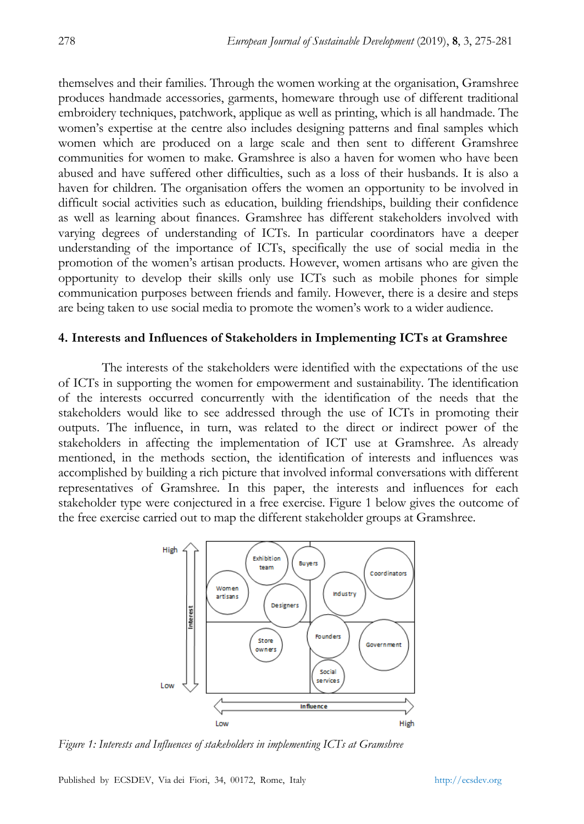themselves and their families. Through the women working at the organisation, Gramshree produces handmade accessories, garments, homeware through use of different traditional embroidery techniques, patchwork, applique as well as printing, which is all handmade. The women's expertise at the centre also includes designing patterns and final samples which women which are produced on a large scale and then sent to different Gramshree communities for women to make. Gramshree is also a haven for women who have been abused and have suffered other difficulties, such as a loss of their husbands. It is also a haven for children. The organisation offers the women an opportunity to be involved in difficult social activities such as education, building friendships, building their confidence as well as learning about finances. Gramshree has different stakeholders involved with varying degrees of understanding of ICTs. In particular coordinators have a deeper understanding of the importance of ICTs, specifically the use of social media in the promotion of the women's artisan products. However, women artisans who are given the opportunity to develop their skills only use ICTs such as mobile phones for simple communication purposes between friends and family. However, there is a desire and steps are being taken to use social media to promote the women's work to a wider audience.

#### **4. Interests and Influences of Stakeholders in Implementing ICTs at Gramshree**

The interests of the stakeholders were identified with the expectations of the use of ICTs in supporting the women for empowerment and sustainability. The identification of the interests occurred concurrently with the identification of the needs that the stakeholders would like to see addressed through the use of ICTs in promoting their outputs. The influence, in turn, was related to the direct or indirect power of the stakeholders in affecting the implementation of ICT use at Gramshree. As already mentioned, in the methods section, the identification of interests and influences was accomplished by building a rich picture that involved informal conversations with different representatives of Gramshree. In this paper, the interests and influences for each stakeholder type were conjectured in a free exercise. Figure 1 below gives the outcome of the free exercise carried out to map the different stakeholder groups at Gramshree.



*Figure 1: Interests and Influences of stakeholders in implementing ICTs at Gramshree*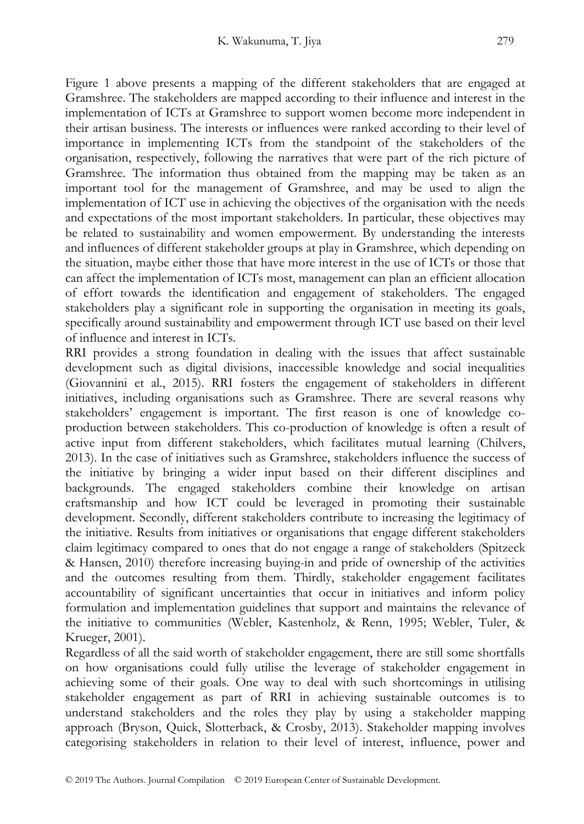Figure 1 above presents a mapping of the different stakeholders that are engaged at Gramshree. The stakeholders are mapped according to their influence and interest in the implementation of ICTs at Gramshree to support women become more independent in their artisan business. The interests or influences were ranked according to their level of importance in implementing ICTs from the standpoint of the stakeholders of the organisation, respectively, following the narratives that were part of the rich picture of Gramshree. The information thus obtained from the mapping may be taken as an important tool for the management of Gramshree, and may be used to align the implementation of ICT use in achieving the objectives of the organisation with the needs and expectations of the most important stakeholders. In particular, these objectives may be related to sustainability and women empowerment. By understanding the interests and influences of different stakeholder groups at play in Gramshree, which depending on the situation, maybe either those that have more interest in the use of ICTs or those that can affect the implementation of ICTs most, management can plan an efficient allocation of effort towards the identification and engagement of stakeholders. The engaged stakeholders play a significant role in supporting the organisation in meeting its goals, specifically around sustainability and empowerment through ICT use based on their level of influence and interest in ICTs.

RRI provides a strong foundation in dealing with the issues that affect sustainable development such as digital divisions, inaccessible knowledge and social inequalities (Giovannini et al., 2015). RRI fosters the engagement of stakeholders in different initiatives, including organisations such as Gramshree. There are several reasons why stakeholders' engagement is important. The first reason is one of knowledge coproduction between stakeholders. This co-production of knowledge is often a result of active input from different stakeholders, which facilitates mutual learning (Chilvers, 2013). In the case of initiatives such as Gramshree, stakeholders influence the success of the initiative by bringing a wider input based on their different disciplines and backgrounds. The engaged stakeholders combine their knowledge on artisan craftsmanship and how ICT could be leveraged in promoting their sustainable development. Secondly, different stakeholders contribute to increasing the legitimacy of the initiative. Results from initiatives or organisations that engage different stakeholders claim legitimacy compared to ones that do not engage a range of stakeholders (Spitzeck & Hansen, 2010) therefore increasing buying-in and pride of ownership of the activities and the outcomes resulting from them. Thirdly, stakeholder engagement facilitates accountability of significant uncertainties that occur in initiatives and inform policy formulation and implementation guidelines that support and maintains the relevance of the initiative to communities (Webler, Kastenholz, & Renn, 1995; Webler, Tuler, & Krueger, 2001).

Regardless of all the said worth of stakeholder engagement, there are still some shortfalls on how organisations could fully utilise the leverage of stakeholder engagement in achieving some of their goals. One way to deal with such shortcomings in utilising stakeholder engagement as part of RRI in achieving sustainable outcomes is to understand stakeholders and the roles they play by using a stakeholder mapping approach (Bryson, Quick, Slotterback, & Crosby, 2013). Stakeholder mapping involves categorising stakeholders in relation to their level of interest, influence, power and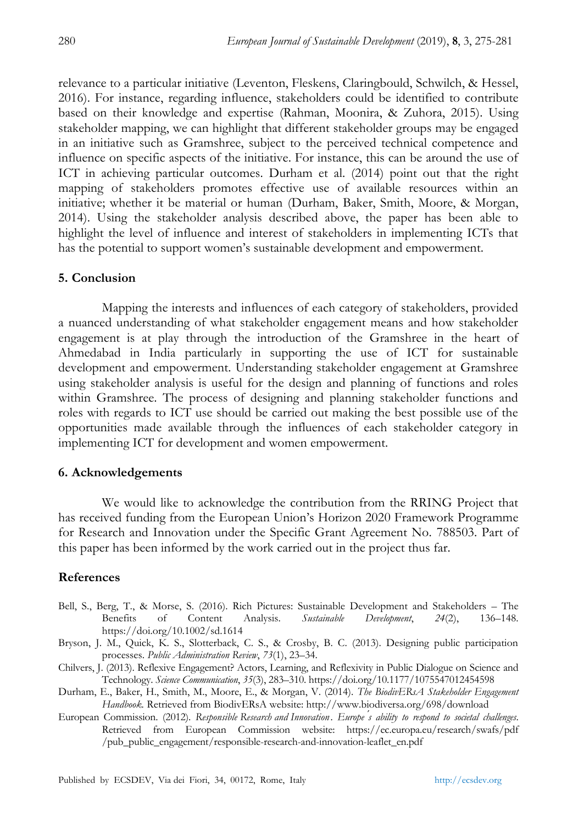relevance to a particular initiative (Leventon, Fleskens, Claringbould, Schwilch, & Hessel, 2016). For instance, regarding influence, stakeholders could be identified to contribute based on their knowledge and expertise (Rahman, Moonira, & Zuhora, 2015). Using stakeholder mapping, we can highlight that different stakeholder groups may be engaged in an initiative such as Gramshree, subject to the perceived technical competence and influence on specific aspects of the initiative. For instance, this can be around the use of ICT in achieving particular outcomes. Durham et al. (2014) point out that the right mapping of stakeholders promotes effective use of available resources within an initiative; whether it be material or human (Durham, Baker, Smith, Moore, & Morgan, 2014). Using the stakeholder analysis described above, the paper has been able to highlight the level of influence and interest of stakeholders in implementing ICTs that has the potential to support women's sustainable development and empowerment.

## **5. Conclusion**

Mapping the interests and influences of each category of stakeholders, provided a nuanced understanding of what stakeholder engagement means and how stakeholder engagement is at play through the introduction of the Gramshree in the heart of Ahmedabad in India particularly in supporting the use of ICT for sustainable development and empowerment. Understanding stakeholder engagement at Gramshree using stakeholder analysis is useful for the design and planning of functions and roles within Gramshree. The process of designing and planning stakeholder functions and roles with regards to ICT use should be carried out making the best possible use of the opportunities made available through the influences of each stakeholder category in implementing ICT for development and women empowerment.

#### **6. Acknowledgements**

We would like to acknowledge the contribution from the RRING Project that has received funding from the European Union's Horizon 2020 Framework Programme for Research and Innovation under the Specific Grant Agreement No. 788503. Part of this paper has been informed by the work carried out in the project thus far.

## **References**

- Bell, S., Berg, T., & Morse, S. (2016). Rich Pictures: Sustainable Development and Stakeholders The Benefits of Content Analysis. *Sustainable Development*, *24*(2), 136–148. https://doi.org/10.1002/sd.1614
- Bryson, J. M., Quick, K. S., Slotterback, C. S., & Crosby, B. C. (2013). Designing public participation processes. *Public Administration Review*, *73*(1), 23–34.
- Chilvers, J. (2013). Reflexive Engagement? Actors, Learning, and Reflexivity in Public Dialogue on Science and Technology. *Science Communication*, *35*(3), 283–310. https://doi.org/10.1177/1075547012454598
- Durham, E., Baker, H., Smith, M., Moore, E., & Morgan, V. (2014). *The BiodivERsA Stakeholder Engagement Handbook.* Retrieved from BiodivERsA website: http://www.biodiversa.org/698/download
- European Commission. (2012). *Responsible Research and Innovation . Europe ́s ability to respond to societal challenges*. Retrieved from European Commission website: https://ec.europa.eu/research/swafs/pdf /pub\_public\_engagement/responsible-research-and-innovation-leaflet\_en.pdf